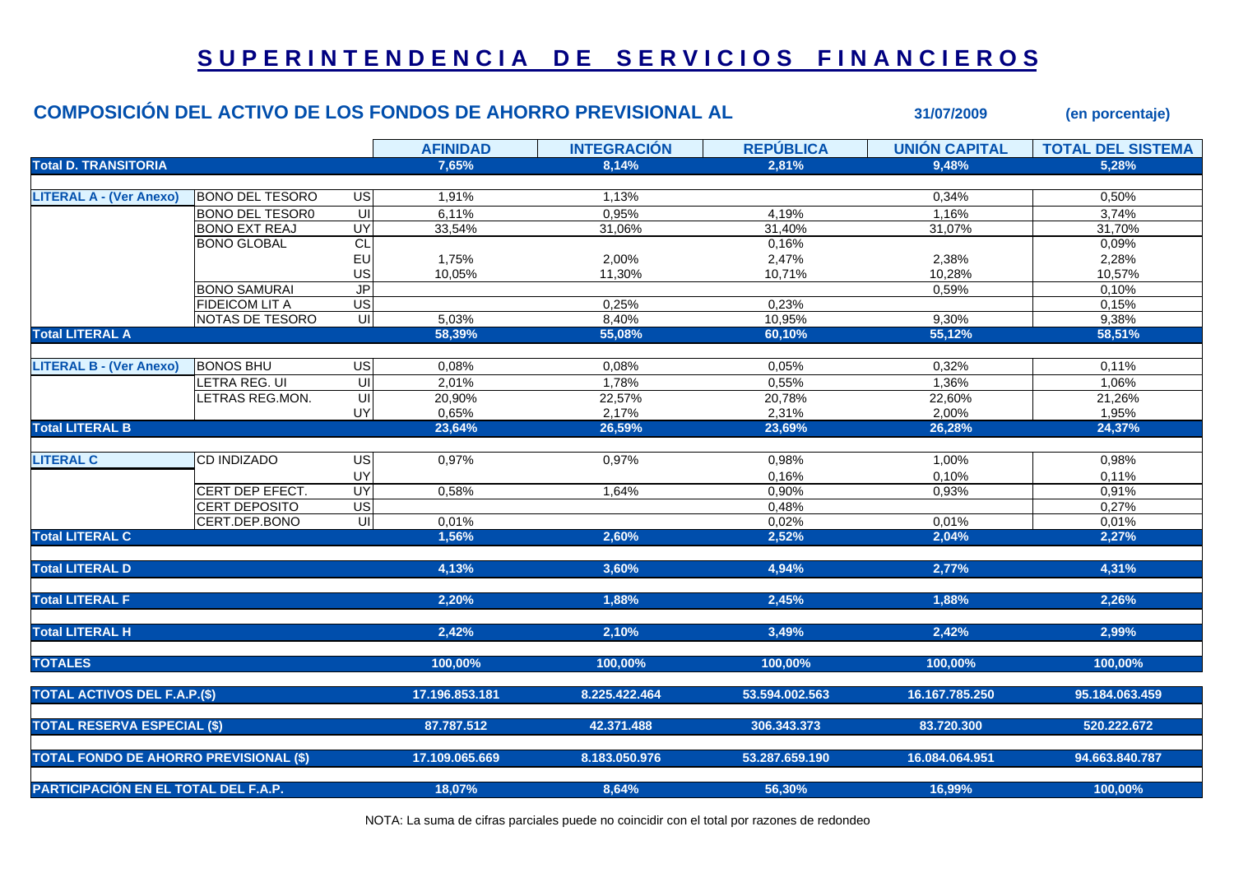## **S U P E R I N T E N D E N C I A D E S E R V I C I O S F I N A N C I E R O S**

|                                               |                        |                         |                 | <b>COMPOSICIÓN DEL ACTIVO DE LOS FONDOS DE AHORRO PREVISIONAL AL</b> | 31/07/2009       | (en porcentaje)      |                          |
|-----------------------------------------------|------------------------|-------------------------|-----------------|----------------------------------------------------------------------|------------------|----------------------|--------------------------|
|                                               |                        |                         | <b>AFINIDAD</b> | <b>INTEGRACIÓN</b>                                                   | <b>REPÚBLICA</b> | <b>UNIÓN CAPITAL</b> | <b>TOTAL DEL SISTEMA</b> |
| <b>Total D. TRANSITORIA</b>                   |                        |                         | 7,65%           | 8,14%                                                                | 2.81%            | 9,48%                | 5.28%                    |
| <b>LITERAL A - (Ver Anexo)</b>                | <b>BONO DEL TESORO</b> | US                      | 1,91%           | 1,13%                                                                |                  | 0,34%                | 0,50%                    |
|                                               | <b>BONO DEL TESOR0</b> | $\overline{\mathsf{u}}$ | 6,11%           | 0,95%                                                                | 4,19%            | 1,16%                | 3,74%                    |
|                                               | <b>BONO EXT REAJ</b>   | UY                      | 33,54%          | 31,06%                                                               | 31,40%           | 31,07%               | 31,70%                   |
|                                               | <b>BONO GLOBAL</b>     | CL                      |                 |                                                                      | 0,16%            |                      | 0,09%                    |
|                                               |                        | EU                      | 1,75%           | 2,00%                                                                | 2,47%            | 2,38%                | 2,28%                    |
|                                               |                        | US                      | 10,05%          | 11,30%                                                               | 10,71%           | 10,28%               | 10,57%                   |
|                                               | <b>BONO SAMURAI</b>    | J <sub>P</sub>          |                 |                                                                      |                  | 0,59%                | 0,10%                    |
|                                               | <b>FIDEICOM LIT A</b>  | $\overline{US}$         |                 | 0,25%                                                                | 0,23%            |                      | 0,15%                    |
|                                               | NOTAS DE TESORO        | UI                      | 5,03%           | 8,40%                                                                | 10,95%           | 9,30%                | 9,38%                    |
| <b>Total LITERAL A</b>                        |                        |                         | 58,39%          | 55,08%                                                               | 60,10%           | 55,12%               | 58,51%                   |
|                                               |                        |                         |                 |                                                                      |                  |                      |                          |
| <b>LITERAL B - (Ver Anexo)</b>                | <b>BONOS BHU</b>       | $\overline{G}$          | 0,08%           | 0,08%                                                                | 0,05%            | 0,32%                | 0,11%                    |
|                                               | LETRA REG. UI          | $\overline{\mathsf{c}}$ | 2,01%           | 1,78%                                                                | 0,55%            | 1,36%                | 1,06%                    |
|                                               | LETRAS REG.MON.        | UI                      | 20,90%          | 22,57%                                                               | 20,78%           | 22,60%               | 21,26%                   |
|                                               |                        | UY                      | 0,65%           | 2,17%                                                                | 2,31%            | 2,00%                | 1,95%                    |
| <b>Total LITERAL B</b>                        |                        |                         | 23,64%          | 26,59%                                                               | 23,69%           | 26,28%               | 24,37%                   |
|                                               |                        |                         |                 |                                                                      |                  |                      |                          |
| <b>LITERAL C</b>                              | <b>CD INDIZADO</b>     | US                      | 0,97%           | 0,97%                                                                | 0,98%            | 1,00%                | 0,98%                    |
|                                               |                        | UY                      |                 |                                                                      | 0,16%            | 0,10%                | 0,11%                    |
|                                               | CERT DEP EFECT.        | UY                      | 0,58%           | 1,64%                                                                | 0,90%            | 0,93%                | 0,91%                    |
|                                               | <b>CERT DEPOSITO</b>   | US                      |                 |                                                                      | 0,48%            |                      | 0,27%                    |
|                                               | CERT.DEP.BONO          |                         | 0,01%           |                                                                      | 0,02%            | 0,01%                | 0,01%                    |
| <b>Total LITERAL C</b>                        |                        |                         | 1,56%           | 2,60%                                                                | 2,52%            | 2,04%                | 2,27%                    |
|                                               |                        |                         |                 |                                                                      |                  |                      |                          |
| <b>Total LITERAL D</b>                        |                        |                         | 4,13%           | 3,60%                                                                | 4,94%            | 2,77%                | 4,31%                    |
| <b>Total LITERAL F</b>                        |                        |                         | 2,20%           | 1,88%                                                                | 2,45%            | 1,88%                | 2,26%                    |
|                                               |                        |                         |                 |                                                                      |                  |                      |                          |
| <b>Total LITERAL H</b>                        |                        |                         | 2,42%           | 2,10%                                                                | 3,49%            | 2,42%                | 2,99%                    |
| <b>TOTALES</b>                                |                        |                         | 100,00%         | 100,00%                                                              | 100,00%          | 100,00%              | 100,00%                  |
| <b>TOTAL ACTIVOS DEL F.A.P.(\$)</b>           |                        |                         | 17.196.853.181  | 8.225.422.464                                                        | 53.594.002.563   | 16.167.785.250       | 95.184.063.459           |
|                                               |                        |                         |                 |                                                                      |                  |                      |                          |
| <b>TOTAL RESERVA ESPECIAL (\$)</b>            |                        |                         | 87.787.512      | 42.371.488                                                           | 306.343.373      | 83.720.300           | 520.222.672              |
| <b>TOTAL FONDO DE AHORRO PREVISIONAL (\$)</b> |                        |                         | 17.109.065.669  | 8.183.050.976                                                        | 53.287.659.190   | 16.084.064.951       | 94.663.840.787           |
| PARTICIPACIÓN EN EL TOTAL DEL F.A.P.          |                        |                         |                 |                                                                      |                  |                      |                          |
|                                               |                        |                         | 18,07%          | 8,64%                                                                | 56,30%           | 16,99%               | 100,00%                  |

NOTA: La suma de cifras parciales puede no coincidir con el total por razones de redondeo